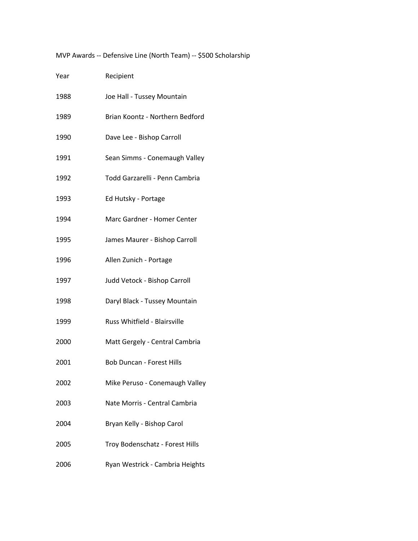MVP Awards -- Defensive Line (North Team) -- \$500 Scholarship

| Year | Recipient                        |
|------|----------------------------------|
| 1988 | Joe Hall - Tussey Mountain       |
| 1989 | Brian Koontz - Northern Bedford  |
| 1990 | Dave Lee - Bishop Carroll        |
| 1991 | Sean Simms - Conemaugh Valley    |
| 1992 | Todd Garzarelli - Penn Cambria   |
| 1993 | Ed Hutsky - Portage              |
| 1994 | Marc Gardner - Homer Center      |
| 1995 | James Maurer - Bishop Carroll    |
| 1996 | Allen Zunich - Portage           |
| 1997 | Judd Vetock - Bishop Carroll     |
| 1998 | Daryl Black - Tussey Mountain    |
| 1999 | Russ Whitfield - Blairsville     |
| 2000 | Matt Gergely - Central Cambria   |
| 2001 | <b>Bob Duncan - Forest Hills</b> |
| 2002 | Mike Peruso - Conemaugh Valley   |
| 2003 | Nate Morris - Central Cambria    |
| 2004 | Bryan Kelly - Bishop Carol       |
| 2005 | Troy Bodenschatz - Forest Hills  |
| 2006 | Ryan Westrick - Cambria Heights  |